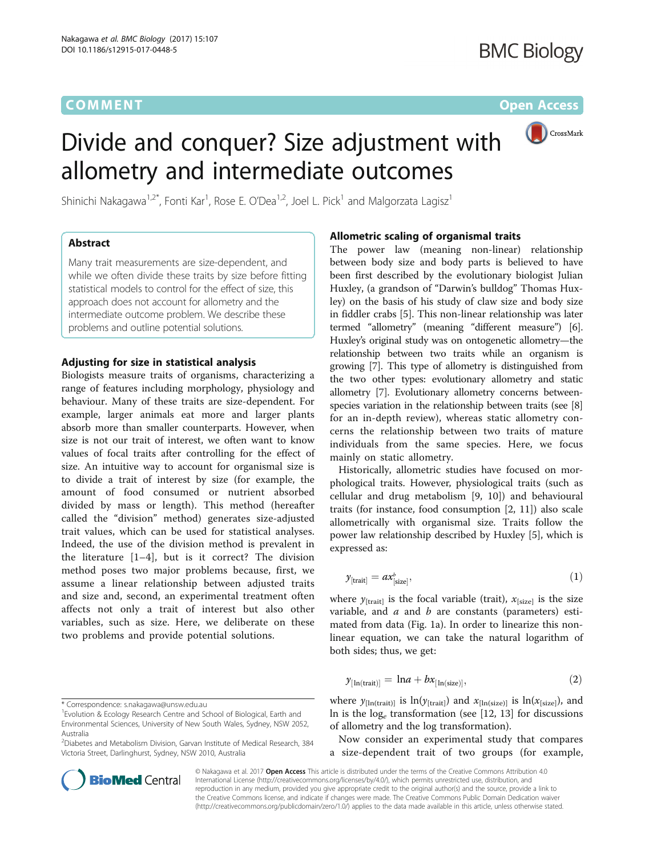# **COMMENT COMMENT COMMENT COMMENT**

# (Bullet) CrossMark

# Divide and conquer? Size adjustment with allometry and intermediate outcomes

Shinichi Nakagawa $^{1,2^\ast}$ , Fonti Kar $^1$ , Rose E. O'Dea $^{1,2}$ , Joel L. Pick $^1$  and Malgorzata Lagisz $^1$ 

# Abstract

Many trait measurements are size-dependent, and while we often divide these traits by size before fitting statistical models to control for the effect of size, this approach does not account for allometry and the intermediate outcome problem. We describe these problems and outline potential solutions.

### Adjusting for size in statistical analysis

Biologists measure traits of organisms, characterizing a range of features including morphology, physiology and behaviour. Many of these traits are size-dependent. For example, larger animals eat more and larger plants absorb more than smaller counterparts. However, when size is not our trait of interest, we often want to know values of focal traits after controlling for the effect of size. An intuitive way to account for organismal size is to divide a trait of interest by size (for example, the amount of food consumed or nutrient absorbed divided by mass or length). This method (hereafter called the "division" method) generates size-adjusted trait values, which can be used for statistical analyses. Indeed, the use of the division method is prevalent in the literature  $[1-4]$  $[1-4]$  $[1-4]$  $[1-4]$ , but is it correct? The division method poses two major problems because, first, we assume a linear relationship between adjusted traits and size and, second, an experimental treatment often affects not only a trait of interest but also other variables, such as size. Here, we deliberate on these two problems and provide potential solutions.

\* Correspondence: [s.nakagawa@unsw.edu.au](mailto:s.nakagawa@unsw.edu.au) <sup>1</sup>

<sup>2</sup> Diabetes and Metabolism Division, Garvan Institute of Medical Research, 384 Victoria Street, Darlinghurst, Sydney, NSW 2010, Australia



### Allometric scaling of organismal traits

The power law (meaning non-linear) relationship between body size and body parts is believed to have been first described by the evolutionary biologist Julian Huxley, (a grandson of "Darwin's bulldog" Thomas Huxley) on the basis of his study of claw size and body size in fiddler crabs [\[5](#page-4-0)]. This non-linear relationship was later termed "allometry" (meaning "different measure") [[6](#page-4-0)]. Huxley's original study was on ontogenetic allometry—the relationship between two traits while an organism is growing [[7\]](#page-4-0). This type of allometry is distinguished from the two other types: evolutionary allometry and static allometry [\[7\]](#page-4-0). Evolutionary allometry concerns betweenspecies variation in the relationship between traits (see [[8](#page-4-0)] for an in-depth review), whereas static allometry concerns the relationship between two traits of mature individuals from the same species. Here, we focus mainly on static allometry.

Historically, allometric studies have focused on morphological traits. However, physiological traits (such as cellular and drug metabolism [[9](#page-4-0), [10](#page-4-0)]) and behavioural traits (for instance, food consumption [\[2](#page-4-0), [11\]](#page-5-0)) also scale allometrically with organismal size. Traits follow the power law relationship described by Huxley [\[5](#page-4-0)], which is expressed as:

$$
y_{\text{[trait]}} = a x_{\text{[size]}}^b,
$$
\n(1)

where  $y_{\text{[trait]}}$  is the focal variable (trait),  $x_{\text{[size]}}$  is the size variable, and  $a$  and  $b$  are constants (parameters) estimated from data (Fig. [1a\)](#page-1-0). In order to linearize this nonlinear equation, we can take the natural logarithm of both sides; thus, we get:

$$
y_{\lfloor \ln(\text{trait}) \rfloor} = \ln a + bx_{\lfloor \ln(\text{size}) \rfloor},\tag{2}
$$

where  $y_{[In(train)]}$  is  $ln(y_{[train]})$  and  $x_{[In(size)]}$  is  $ln(x_{[size]})$ , and In is the  $log_e$  transformation (see [[12](#page-5-0), [13\]](#page-5-0) for discussions of allometry and the log transformation).

Now consider an experimental study that compares a size-dependent trait of two groups (for example,

© Nakagawa et al. 2017 Open Access This article is distributed under the terms of the Creative Commons Attribution 4.0 International License [\(http://creativecommons.org/licenses/by/4.0/](http://creativecommons.org/licenses/by/4.0/)), which permits unrestricted use, distribution, and reproduction in any medium, provided you give appropriate credit to the original author(s) and the source, provide a link to the Creative Commons license, and indicate if changes were made. The Creative Commons Public Domain Dedication waiver [\(http://creativecommons.org/publicdomain/zero/1.0/](http://creativecommons.org/publicdomain/zero/1.0/)) applies to the data made available in this article, unless otherwise stated.

<sup>&</sup>lt;sup>1</sup> Evolution & Ecology Research Centre and School of Biological, Earth and Environmental Sciences, University of New South Wales, Sydney, NSW 2052, Australia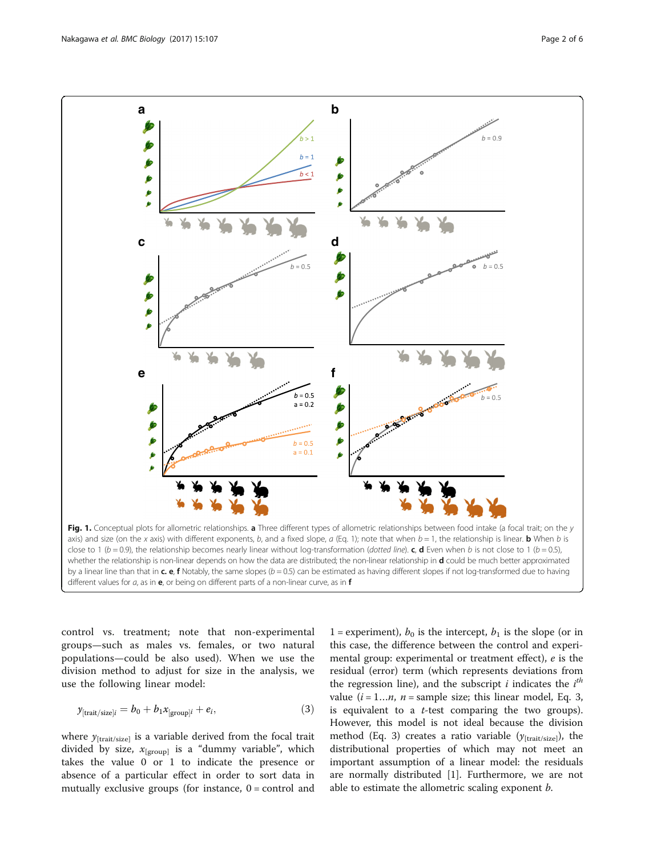<span id="page-1-0"></span>

control vs. treatment; note that non-experimental groups—such as males vs. females, or two natural populations—could be also used). When we use the division method to adjust for size in the analysis, we use the following linear model:

$$
y_{\text{[trait/size]}i} = b_0 + b_1 x_{\text{[group]}i} + e_i,
$$
\n(3)

where  $y_{\text{[trait/size]}}$  is a variable derived from the focal trait divided by size,  $x_{\text{[group]}}$  is a "dummy variable", which takes the value 0 or 1 to indicate the presence or absence of a particular effect in order to sort data in mutually exclusive groups (for instance,  $0 =$  control and

1 = experiment),  $b_0$  is the intercept,  $b_1$  is the slope (or in this case, the difference between the control and experimental group: experimental or treatment effect), e is the residual (error) term (which represents deviations from the regression line), and the subscript  $i$  indicates the  $i<sup>th</sup>$ value  $(i = 1...n, n =$  sample size; this linear model, Eq. 3, is equivalent to a *t*-test comparing the two groups). However, this model is not ideal because the division method (Eq. 3) creates a ratio variable  $(y<sub>[trait/size]</sub>)$ , the distributional properties of which may not meet an important assumption of a linear model: the residuals are normally distributed [\[1](#page-4-0)]. Furthermore, we are not able to estimate the allometric scaling exponent *b*.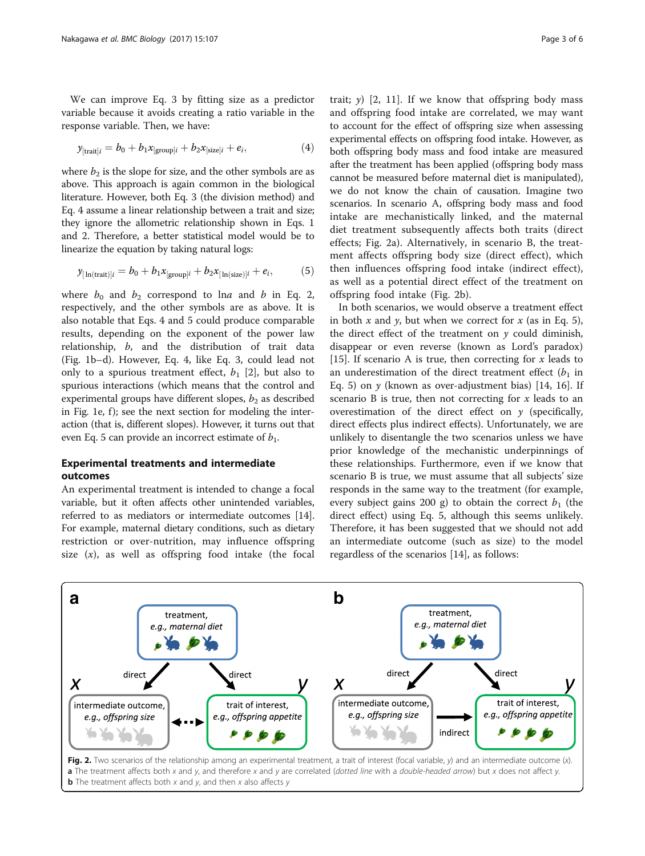<span id="page-2-0"></span>We can improve Eq. 3 by fitting size as a predictor variable because it avoids creating a ratio variable in the response variable. Then, we have:

$$
y_{[\text{trait}]i} = b_0 + b_1 x_{[\text{group}]i} + b_2 x_{[\text{size}]i} + e_i,
$$
\n(4)

where  $b_2$  is the slope for size, and the other symbols are as above. This approach is again common in the biological literature. However, both Eq. 3 (the division method) and Eq. 4 assume a linear relationship between a trait and size; they ignore the allometric relationship shown in Eqs. 1 and 2. Therefore, a better statistical model would be to linearize the equation by taking natural logs:

$$
\mathcal{Y}_{\left[\ln(\text{trait})\right]i} = b_0 + b_1 x_{\left[\text{group}\right]i} + b_2 x_{\left[\ln(\text{size})\right]i} + e_i,\tag{5}
$$

where  $b_0$  and  $b_2$  correspond to lna and b in Eq. 2, respectively, and the other symbols are as above. It is also notable that Eqs. 4 and 5 could produce comparable results, depending on the exponent of the power law relationship, b, and the distribution of trait data (Fig. [1b](#page-1-0)–d). However, Eq. 4, like Eq. 3, could lead not only to a spurious treatment effect,  $b_1$  [\[2](#page-4-0)], but also to spurious interactions (which means that the control and experimental groups have different slopes,  $b_2$  as described in Fig. [1e, f](#page-1-0)); see the next section for modeling the interaction (that is, different slopes). However, it turns out that even Eq. 5 can provide an incorrect estimate of  $b_1$ .

## Experimental treatments and intermediate outcomes

An experimental treatment is intended to change a focal variable, but it often affects other unintended variables, referred to as mediators or intermediate outcomes [[14](#page-5-0)]. For example, maternal dietary conditions, such as dietary restriction or over-nutrition, may influence offspring size  $(x)$ , as well as offspring food intake (the focal

trait;  $y$ ) [\[2,](#page-4-0) [11](#page-5-0)]. If we know that offspring body mass and offspring food intake are correlated, we may want to account for the effect of offspring size when assessing experimental effects on offspring food intake. However, as both offspring body mass and food intake are measured after the treatment has been applied (offspring body mass cannot be measured before maternal diet is manipulated), we do not know the chain of causation. Imagine two scenarios. In scenario A, offspring body mass and food intake are mechanistically linked, and the maternal diet treatment subsequently affects both traits (direct effects; Fig. 2a). Alternatively, in scenario B, the treatment affects offspring body size (direct effect), which then influences offspring food intake (indirect effect), as well as a potential direct effect of the treatment on offspring food intake (Fig. 2b).

In both scenarios, we would observe a treatment effect in both x and y, but when we correct for x (as in Eq. 5), the direct effect of the treatment on  $\nu$  could diminish, disappear or even reverse (known as Lord's paradox) [[15\]](#page-5-0). If scenario A is true, then correcting for x leads to an underestimation of the direct treatment effect  $(b_1$  in Eq. 5) on  $\gamma$  (known as over-adjustment bias) [[14, 16](#page-5-0)]. If scenario B is true, then not correcting for x leads to an overestimation of the direct effect on  $y$  (specifically, direct effects plus indirect effects). Unfortunately, we are unlikely to disentangle the two scenarios unless we have prior knowledge of the mechanistic underpinnings of these relationships. Furthermore, even if we know that scenario B is true, we must assume that all subjects' size responds in the same way to the treatment (for example, every subject gains 200 g) to obtain the correct  $b_1$  (the direct effect) using Eq. 5, although this seems unlikely. Therefore, it has been suggested that we should not add an intermediate outcome (such as size) to the model regardless of the scenarios [[14](#page-5-0)], as follows:

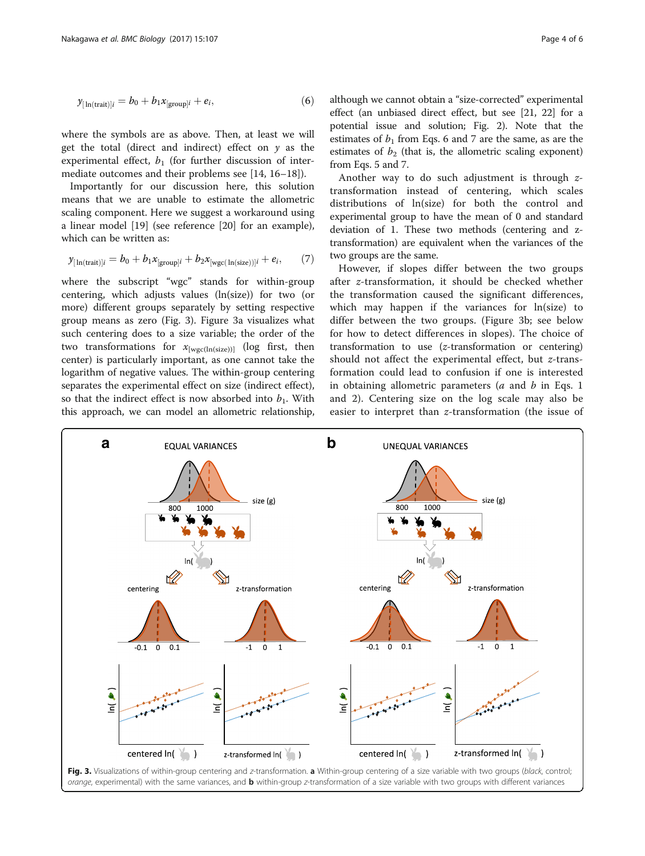<span id="page-3-0"></span>where the symbols are as above. Then, at least we will get the total (direct and indirect) effect on  $y$  as the experimental effect,  $b_1$  (for further discussion of intermediate outcomes and their problems see [\[14, 16](#page-5-0)–[18\]](#page-5-0)).

Importantly for our discussion here, this solution means that we are unable to estimate the allometric scaling component. Here we suggest a workaround using a linear model [\[19](#page-5-0)] (see reference [\[20](#page-5-0)] for an example), which can be written as:

$$
y_{\lfloor \ln(\text{train})\rfloor} = b_0 + b_1 x_{\text{[group]}} + b_2 x_{\text{[wgc]}(\ln(\text{size}))\rfloor} + e_i, \qquad (7)
$$

where the subscript "wgc" stands for within-group centering, which adjusts values (ln(size)) for two (or more) different groups separately by setting respective group means as zero (Fig. 3). Figure 3a visualizes what such centering does to a size variable; the order of the two transformations for  $x_{[wec(ln(size))]}$  (log first, then center) is particularly important, as one cannot take the logarithm of negative values. The within-group centering separates the experimental effect on size (indirect effect), so that the indirect effect is now absorbed into  $b_1$ . With this approach, we can model an allometric relationship, although we cannot obtain a "size-corrected" experimental effect (an unbiased direct effect, but see [[21, 22](#page-5-0)] for a potential issue and solution; Fig. [2\)](#page-2-0). Note that the estimates of  $b_1$  from Eqs. 6 and 7 are the same, as are the estimates of  $b_2$  (that is, the allometric scaling exponent) from Eqs. 5 and 7.

Another way to do such adjustment is through ztransformation instead of centering, which scales distributions of ln(size) for both the control and experimental group to have the mean of 0 and standard deviation of 1. These two methods (centering and ztransformation) are equivalent when the variances of the two groups are the same.

However, if slopes differ between the two groups after z-transformation, it should be checked whether the transformation caused the significant differences, which may happen if the variances for ln(size) to differ between the two groups. (Figure 3b; see below for how to detect differences in slopes). The choice of transformation to use (z-transformation or centering) should not affect the experimental effect, but z-transformation could lead to confusion if one is interested in obtaining allometric parameters ( $a$  and  $b$  in Eqs. 1 and 2). Centering size on the log scale may also be easier to interpret than z-transformation (the issue of

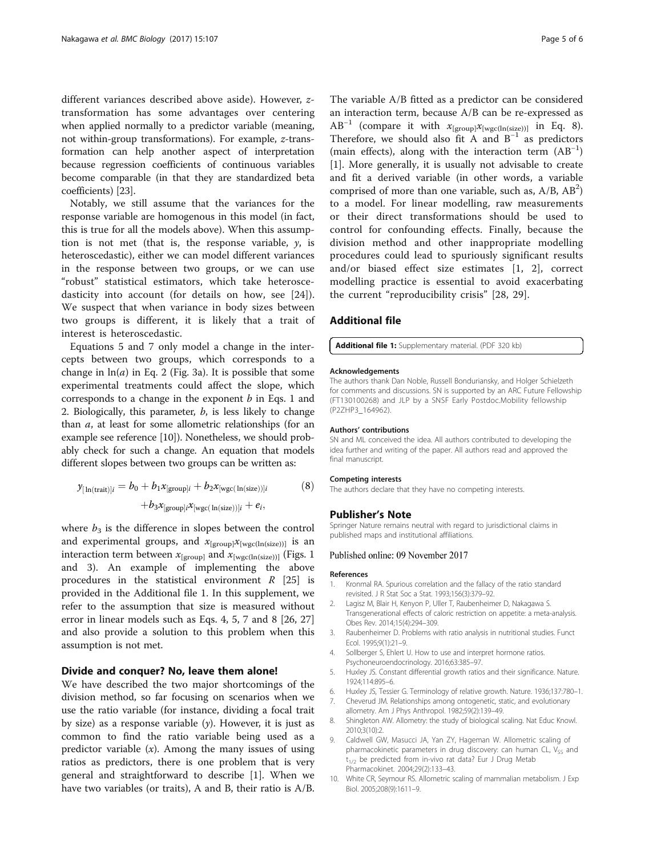<span id="page-4-0"></span>different variances described above aside). However, ztransformation has some advantages over centering when applied normally to a predictor variable (meaning, not within-group transformations). For example, z-transformation can help another aspect of interpretation because regression coefficients of continuous variables become comparable (in that they are standardized beta coefficients) [\[23](#page-5-0)].

Notably, we still assume that the variances for the response variable are homogenous in this model (in fact, this is true for all the models above). When this assumption is not met (that is, the response variable,  $y$ , is heteroscedastic), either we can model different variances in the response between two groups, or we can use "robust" statistical estimators, which take heteroscedasticity into account (for details on how, see [[24\]](#page-5-0)). We suspect that when variance in body sizes between two groups is different, it is likely that a trait of interest is heteroscedastic.

Equations 5 and 7 only model a change in the intercepts between two groups, which corresponds to a change in  $ln(a)$  in Eq. 2 (Fig. [3a](#page-3-0)). It is possible that some experimental treatments could affect the slope, which corresponds to a change in the exponent  $b$  in Eqs. 1 and 2. Biologically, this parameter,  $b$ , is less likely to change than a, at least for some allometric relationships (for an example see reference [10]). Nonetheless, we should probably check for such a change. An equation that models different slopes between two groups can be written as:

$$
\mathcal{Y}_{[\ln(\text{trait})]i} = b_0 + b_1 x_{[\text{group}]i} + b_2 x_{[\text{wgc}(\ln(\text{size}))]i} \tag{8}
$$

$$
+ b_3 x_{[\text{group}]i} x_{[\text{wgc}(\ln(\text{size}))]i} + e_i,
$$

where  $b_3$  is the difference in slopes between the control and experimental groups, and  $x_{[group]}x_{[wgc(ln(size))]}$  is an interaction term between  $x_{\text{[group]}}$  and  $x_{\text{[wgc(ln(size))]}}$  (Figs. [1](#page-1-0) and [3](#page-3-0)). An example of implementing the above procedures in the statistical environment  $R$  [\[25\]](#page-5-0) is provided in the Additional file 1. In this supplement, we refer to the assumption that size is measured without error in linear models such as Eqs. 4, 5, 7 and 8 [\[26](#page-5-0), [27](#page-5-0)] and also provide a solution to this problem when this assumption is not met.

#### Divide and conquer? No, leave them alone!

We have described the two major shortcomings of the division method, so far focusing on scenarios when we use the ratio variable (for instance, dividing a focal trait by size) as a response variable  $(y)$ . However, it is just as common to find the ratio variable being used as a predictor variable  $(x)$ . Among the many issues of using ratios as predictors, there is one problem that is very general and straightforward to describe [1]. When we have two variables (or traits), A and B, their ratio is A/B.

The variable A/B fitted as a predictor can be considered an interaction term, because A/B can be re-expressed as AB<sup>-1</sup> (compare it with  $x_{[group]}x_{[wgc(ln(size))]$  in Eq. 8). Therefore, we should also fit A and  $B^{-1}$  as predictors (main effects), along with the interaction term (AB−<sup>1</sup> ) [1]. More generally, it is usually not advisable to create and fit a derived variable (in other words, a variable comprised of more than one variable, such as,  $A/B$ ,  $AB^2$ ) to a model. For linear modelling, raw measurements or their direct transformations should be used to control for confounding effects. Finally, because the division method and other inappropriate modelling procedures could lead to spuriously significant results and/or biased effect size estimates [1, 2], correct modelling practice is essential to avoid exacerbating the current "reproducibility crisis" [[28, 29\]](#page-5-0).

#### Additional file

#### [Additional file 1:](dx.doi.org/10.1186/s12915-017-0448-5) Supplementary material. (PDF 320 kb)

#### Acknowledgements

The authors thank Dan Noble, Russell Bonduriansky, and Holger Schielzeth for comments and discussions. SN is supported by an ARC Future Fellowship (FT130100268) and JLP by a SNSF Early Postdoc.Mobility fellowship (P2ZHP3\_164962).

#### Authors' contributions

SN and ML conceived the idea. All authors contributed to developing the idea further and writing of the paper. All authors read and approved the final manuscript.

#### Competing interests

The authors declare that they have no competing interests.

#### Publisher's Note

Springer Nature remains neutral with regard to jurisdictional claims in published maps and institutional affiliations.

#### Published online: 09 November 2017

#### References

- 1. Kronmal RA. Spurious correlation and the fallacy of the ratio standard revisited. J R Stat Soc a Stat. 1993;156(3):379–92.
- 2. Lagisz M, Blair H, Kenyon P, Uller T, Raubenheimer D, Nakagawa S. Transgenerational effects of caloric restriction on appetite: a meta-analysis. Obes Rev. 2014;15(4):294–309.
- 3. Raubenheimer D. Problems with ratio analysis in nutritional studies. Funct Ecol. 1995;9(1):21–9.
- 4. Sollberger S, Ehlert U. How to use and interpret hormone ratios. Psychoneuroendocrinology. 2016;63:385–97.
- 5. Huxley JS. Constant differential growth ratios and their significance. Nature. 1924;114:895–6.
- 6. Huxley JS, Tessier G. Terminology of relative growth. Nature. 1936;137:780–1.
- 7. Cheverud JM. Relationships among ontogenetic, static, and evolutionary allometry. Am J Phys Anthropol. 1982;59(2):139–49.
- 8. Shingleton AW. Allometry: the study of biological scaling. Nat Educ Knowl. 2010;3(10):2.
- 9. Caldwell GW, Masucci JA, Yan ZY, Hageman W. Allometric scaling of pharmacokinetic parameters in drug discovery: can human CL, V<sub>SS</sub> and  $t_{1/2}$  be predicted from in-vivo rat data? Eur J Drug Metab Pharmacokinet. 2004;29(2):133–43.
- 10. White CR, Seymour RS. Allometric scaling of mammalian metabolism. J Exp Biol. 2005;208(9):1611–9.